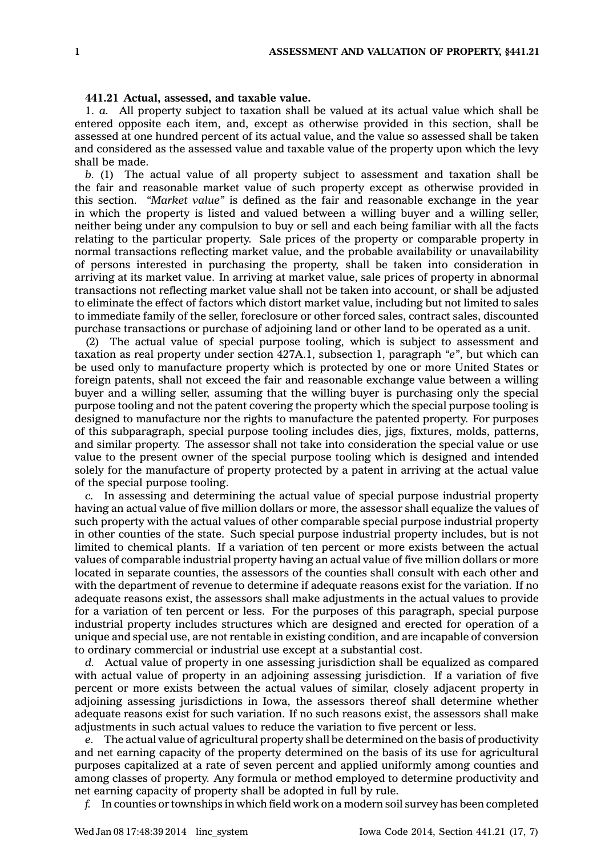## **441.21 Actual, assessed, and taxable value.**

1. *a.* All property subject to taxation shall be valued at its actual value which shall be entered opposite each item, and, except as otherwise provided in this section, shall be assessed at one hundred percent of its actual value, and the value so assessed shall be taken and considered as the assessed value and taxable value of the property upon which the levy shall be made.

*b.* (1) The actual value of all property subject to assessment and taxation shall be the fair and reasonable market value of such property except as otherwise provided in this section. *"Market value"* is defined as the fair and reasonable exchange in the year in which the property is listed and valued between <sup>a</sup> willing buyer and <sup>a</sup> willing seller, neither being under any compulsion to buy or sell and each being familiar with all the facts relating to the particular property. Sale prices of the property or comparable property in normal transactions reflecting market value, and the probable availability or unavailability of persons interested in purchasing the property, shall be taken into consideration in arriving at its market value. In arriving at market value, sale prices of property in abnormal transactions not reflecting market value shall not be taken into account, or shall be adjusted to eliminate the effect of factors which distort market value, including but not limited to sales to immediate family of the seller, foreclosure or other forced sales, contract sales, discounted purchase transactions or purchase of adjoining land or other land to be operated as <sup>a</sup> unit.

(2) The actual value of special purpose tooling, which is subject to assessment and taxation as real property under section 427A.1, subsection 1, paragraph *"e"*, but which can be used only to manufacture property which is protected by one or more United States or foreign patents, shall not exceed the fair and reasonable exchange value between <sup>a</sup> willing buyer and <sup>a</sup> willing seller, assuming that the willing buyer is purchasing only the special purpose tooling and not the patent covering the property which the special purpose tooling is designed to manufacture nor the rights to manufacture the patented property. For purposes of this subparagraph, special purpose tooling includes dies, jigs, fixtures, molds, patterns, and similar property. The assessor shall not take into consideration the special value or use value to the present owner of the special purpose tooling which is designed and intended solely for the manufacture of property protected by <sup>a</sup> patent in arriving at the actual value of the special purpose tooling.

*c.* In assessing and determining the actual value of special purpose industrial property having an actual value of five million dollars or more, the assessor shall equalize the values of such property with the actual values of other comparable special purpose industrial property in other counties of the state. Such special purpose industrial property includes, but is not limited to chemical plants. If <sup>a</sup> variation of ten percent or more exists between the actual values of comparable industrial property having an actual value of five million dollars or more located in separate counties, the assessors of the counties shall consult with each other and with the department of revenue to determine if adequate reasons exist for the variation. If no adequate reasons exist, the assessors shall make adjustments in the actual values to provide for <sup>a</sup> variation of ten percent or less. For the purposes of this paragraph, special purpose industrial property includes structures which are designed and erected for operation of <sup>a</sup> unique and special use, are not rentable in existing condition, and are incapable of conversion to ordinary commercial or industrial use except at <sup>a</sup> substantial cost.

*d.* Actual value of property in one assessing jurisdiction shall be equalized as compared with actual value of property in an adjoining assessing jurisdiction. If <sup>a</sup> variation of five percent or more exists between the actual values of similar, closely adjacent property in adjoining assessing jurisdictions in Iowa, the assessors thereof shall determine whether adequate reasons exist for such variation. If no such reasons exist, the assessors shall make adjustments in such actual values to reduce the variation to five percent or less.

*e.* The actual value of agricultural property shall be determined on the basis of productivity and net earning capacity of the property determined on the basis of its use for agricultural purposes capitalized at <sup>a</sup> rate of seven percent and applied uniformly among counties and among classes of property. Any formula or method employed to determine productivity and net earning capacity of property shall be adopted in full by rule.

*f.* In counties or townships in which field work on <sup>a</sup> modern soil survey has been completed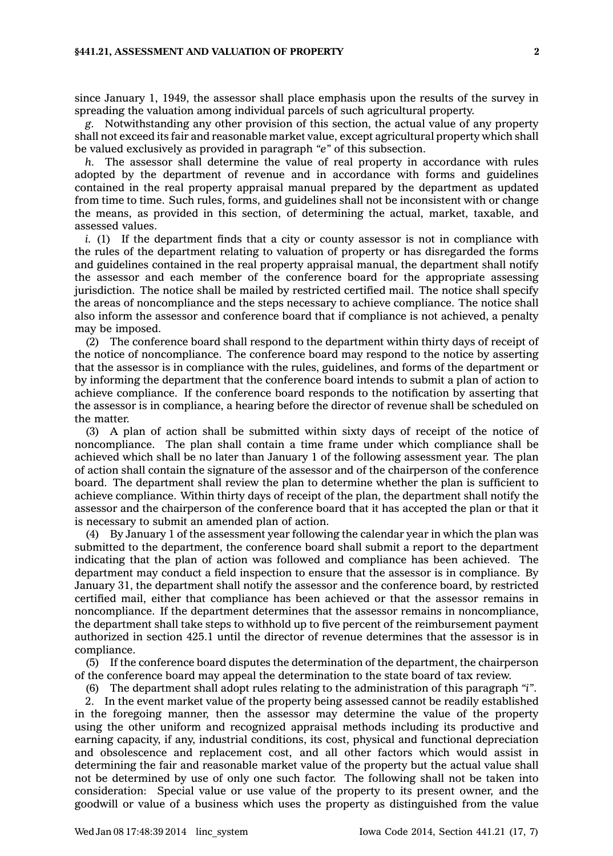## **§441.21, ASSESSMENT AND VALUATION OF PROPERTY 2**

since January 1, 1949, the assessor shall place emphasis upon the results of the survey in spreading the valuation among individual parcels of such agricultural property.

*g.* Notwithstanding any other provision of this section, the actual value of any property shall not exceed its fair and reasonable market value, except agricultural property which shall be valued exclusively as provided in paragraph *"e"* of this subsection.

*h.* The assessor shall determine the value of real property in accordance with rules adopted by the department of revenue and in accordance with forms and guidelines contained in the real property appraisal manual prepared by the department as updated from time to time. Such rules, forms, and guidelines shall not be inconsistent with or change the means, as provided in this section, of determining the actual, market, taxable, and assessed values.

*i.* (1) If the department finds that a city or county assessor is not in compliance with the rules of the department relating to valuation of property or has disregarded the forms and guidelines contained in the real property appraisal manual, the department shall notify the assessor and each member of the conference board for the appropriate assessing jurisdiction. The notice shall be mailed by restricted certified mail. The notice shall specify the areas of noncompliance and the steps necessary to achieve compliance. The notice shall also inform the assessor and conference board that if compliance is not achieved, <sup>a</sup> penalty may be imposed.

(2) The conference board shall respond to the department within thirty days of receipt of the notice of noncompliance. The conference board may respond to the notice by asserting that the assessor is in compliance with the rules, guidelines, and forms of the department or by informing the department that the conference board intends to submit <sup>a</sup> plan of action to achieve compliance. If the conference board responds to the notification by asserting that the assessor is in compliance, <sup>a</sup> hearing before the director of revenue shall be scheduled on the matter.

(3) A plan of action shall be submitted within sixty days of receipt of the notice of noncompliance. The plan shall contain <sup>a</sup> time frame under which compliance shall be achieved which shall be no later than January 1 of the following assessment year. The plan of action shall contain the signature of the assessor and of the chairperson of the conference board. The department shall review the plan to determine whether the plan is sufficient to achieve compliance. Within thirty days of receipt of the plan, the department shall notify the assessor and the chairperson of the conference board that it has accepted the plan or that it is necessary to submit an amended plan of action.

(4) By January 1 of the assessment year following the calendar year in which the plan was submitted to the department, the conference board shall submit <sup>a</sup> report to the department indicating that the plan of action was followed and compliance has been achieved. The department may conduct <sup>a</sup> field inspection to ensure that the assessor is in compliance. By January 31, the department shall notify the assessor and the conference board, by restricted certified mail, either that compliance has been achieved or that the assessor remains in noncompliance. If the department determines that the assessor remains in noncompliance, the department shall take steps to withhold up to five percent of the reimbursement payment authorized in section 425.1 until the director of revenue determines that the assessor is in compliance.

(5) If the conference board disputes the determination of the department, the chairperson of the conference board may appeal the determination to the state board of tax review.

(6) The department shall adopt rules relating to the administration of this paragraph *"i"*. 2. In the event market value of the property being assessed cannot be readily established in the foregoing manner, then the assessor may determine the value of the property using the other uniform and recognized appraisal methods including its productive and earning capacity, if any, industrial conditions, its cost, physical and functional depreciation and obsolescence and replacement cost, and all other factors which would assist in determining the fair and reasonable market value of the property but the actual value shall not be determined by use of only one such factor. The following shall not be taken into consideration: Special value or use value of the property to its present owner, and the goodwill or value of <sup>a</sup> business which uses the property as distinguished from the value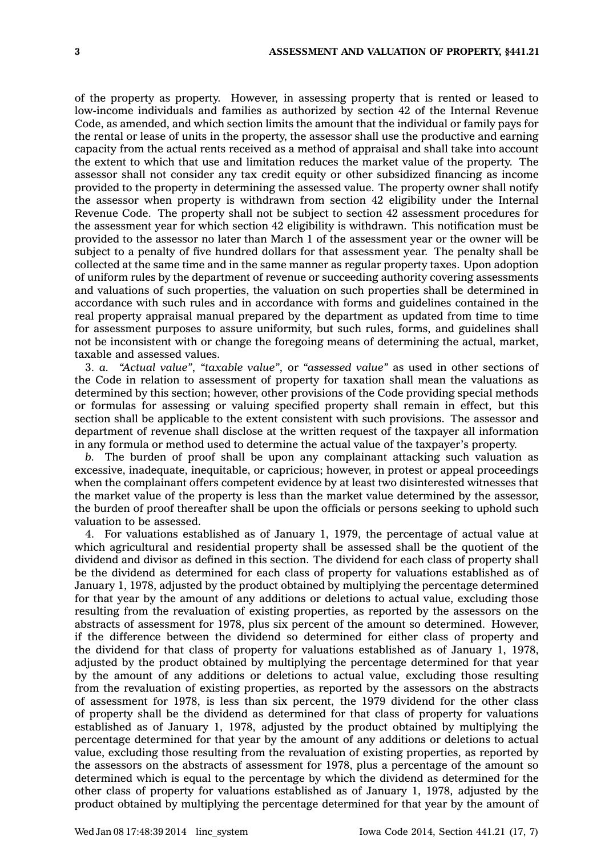of the property as property. However, in assessing property that is rented or leased to low-income individuals and families as authorized by section 42 of the Internal Revenue Code, as amended, and which section limits the amount that the individual or family pays for the rental or lease of units in the property, the assessor shall use the productive and earning capacity from the actual rents received as <sup>a</sup> method of appraisal and shall take into account the extent to which that use and limitation reduces the market value of the property. The assessor shall not consider any tax credit equity or other subsidized financing as income provided to the property in determining the assessed value. The property owner shall notify the assessor when property is withdrawn from section 42 eligibility under the Internal Revenue Code. The property shall not be subject to section 42 assessment procedures for the assessment year for which section 42 eligibility is withdrawn. This notification must be provided to the assessor no later than March 1 of the assessment year or the owner will be subject to <sup>a</sup> penalty of five hundred dollars for that assessment year. The penalty shall be collected at the same time and in the same manner as regular property taxes. Upon adoption of uniform rules by the department of revenue or succeeding authority covering assessments and valuations of such properties, the valuation on such properties shall be determined in accordance with such rules and in accordance with forms and guidelines contained in the real property appraisal manual prepared by the department as updated from time to time for assessment purposes to assure uniformity, but such rules, forms, and guidelines shall not be inconsistent with or change the foregoing means of determining the actual, market, taxable and assessed values.

3. *a. "Actual value"*, *"taxable value"*, or *"assessed value"* as used in other sections of the Code in relation to assessment of property for taxation shall mean the valuations as determined by this section; however, other provisions of the Code providing special methods or formulas for assessing or valuing specified property shall remain in effect, but this section shall be applicable to the extent consistent with such provisions. The assessor and department of revenue shall disclose at the written request of the taxpayer all information in any formula or method used to determine the actual value of the taxpayer's property.

*b.* The burden of proof shall be upon any complainant attacking such valuation as excessive, inadequate, inequitable, or capricious; however, in protest or appeal proceedings when the complainant offers competent evidence by at least two disinterested witnesses that the market value of the property is less than the market value determined by the assessor, the burden of proof thereafter shall be upon the officials or persons seeking to uphold such valuation to be assessed.

4. For valuations established as of January 1, 1979, the percentage of actual value at which agricultural and residential property shall be assessed shall be the quotient of the dividend and divisor as defined in this section. The dividend for each class of property shall be the dividend as determined for each class of property for valuations established as of January 1, 1978, adjusted by the product obtained by multiplying the percentage determined for that year by the amount of any additions or deletions to actual value, excluding those resulting from the revaluation of existing properties, as reported by the assessors on the abstracts of assessment for 1978, plus six percent of the amount so determined. However, if the difference between the dividend so determined for either class of property and the dividend for that class of property for valuations established as of January 1, 1978, adjusted by the product obtained by multiplying the percentage determined for that year by the amount of any additions or deletions to actual value, excluding those resulting from the revaluation of existing properties, as reported by the assessors on the abstracts of assessment for 1978, is less than six percent, the 1979 dividend for the other class of property shall be the dividend as determined for that class of property for valuations established as of January 1, 1978, adjusted by the product obtained by multiplying the percentage determined for that year by the amount of any additions or deletions to actual value, excluding those resulting from the revaluation of existing properties, as reported by the assessors on the abstracts of assessment for 1978, plus <sup>a</sup> percentage of the amount so determined which is equal to the percentage by which the dividend as determined for the other class of property for valuations established as of January 1, 1978, adjusted by the product obtained by multiplying the percentage determined for that year by the amount of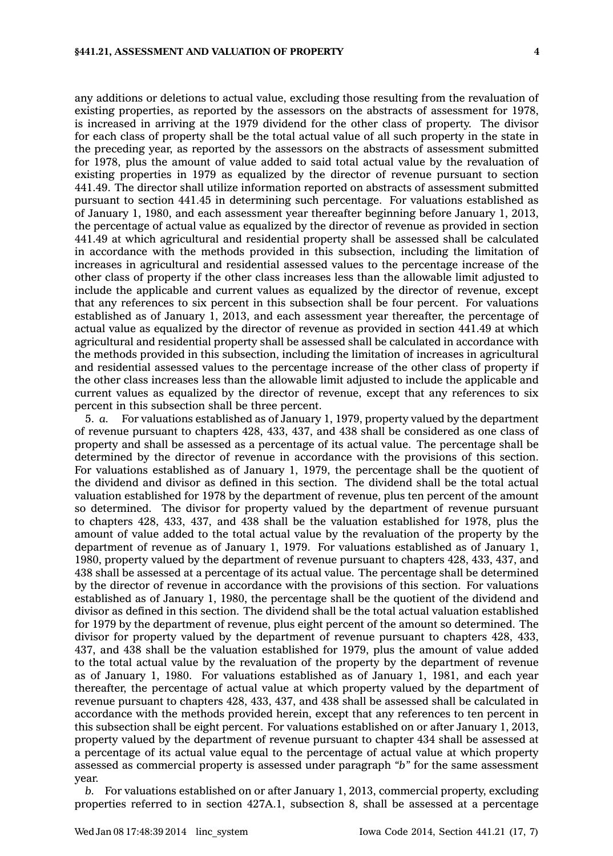any additions or deletions to actual value, excluding those resulting from the revaluation of existing properties, as reported by the assessors on the abstracts of assessment for 1978, is increased in arriving at the 1979 dividend for the other class of property. The divisor for each class of property shall be the total actual value of all such property in the state in the preceding year, as reported by the assessors on the abstracts of assessment submitted for 1978, plus the amount of value added to said total actual value by the revaluation of existing properties in 1979 as equalized by the director of revenue pursuant to section 441.49. The director shall utilize information reported on abstracts of assessment submitted pursuant to section 441.45 in determining such percentage. For valuations established as of January 1, 1980, and each assessment year thereafter beginning before January 1, 2013, the percentage of actual value as equalized by the director of revenue as provided in section 441.49 at which agricultural and residential property shall be assessed shall be calculated in accordance with the methods provided in this subsection, including the limitation of increases in agricultural and residential assessed values to the percentage increase of the other class of property if the other class increases less than the allowable limit adjusted to include the applicable and current values as equalized by the director of revenue, except that any references to six percent in this subsection shall be four percent. For valuations established as of January 1, 2013, and each assessment year thereafter, the percentage of actual value as equalized by the director of revenue as provided in section 441.49 at which agricultural and residential property shall be assessed shall be calculated in accordance with the methods provided in this subsection, including the limitation of increases in agricultural and residential assessed values to the percentage increase of the other class of property if the other class increases less than the allowable limit adjusted to include the applicable and current values as equalized by the director of revenue, except that any references to six percent in this subsection shall be three percent.

5. *a.* For valuations established as of January 1, 1979, property valued by the department of revenue pursuant to chapters 428, 433, 437, and 438 shall be considered as one class of property and shall be assessed as <sup>a</sup> percentage of its actual value. The percentage shall be determined by the director of revenue in accordance with the provisions of this section. For valuations established as of January 1, 1979, the percentage shall be the quotient of the dividend and divisor as defined in this section. The dividend shall be the total actual valuation established for 1978 by the department of revenue, plus ten percent of the amount so determined. The divisor for property valued by the department of revenue pursuant to chapters 428, 433, 437, and 438 shall be the valuation established for 1978, plus the amount of value added to the total actual value by the revaluation of the property by the department of revenue as of January 1, 1979. For valuations established as of January 1, 1980, property valued by the department of revenue pursuant to chapters 428, 433, 437, and 438 shall be assessed at <sup>a</sup> percentage of its actual value. The percentage shall be determined by the director of revenue in accordance with the provisions of this section. For valuations established as of January 1, 1980, the percentage shall be the quotient of the dividend and divisor as defined in this section. The dividend shall be the total actual valuation established for 1979 by the department of revenue, plus eight percent of the amount so determined. The divisor for property valued by the department of revenue pursuant to chapters 428, 433, 437, and 438 shall be the valuation established for 1979, plus the amount of value added to the total actual value by the revaluation of the property by the department of revenue as of January 1, 1980. For valuations established as of January 1, 1981, and each year thereafter, the percentage of actual value at which property valued by the department of revenue pursuant to chapters 428, 433, 437, and 438 shall be assessed shall be calculated in accordance with the methods provided herein, except that any references to ten percent in this subsection shall be eight percent. For valuations established on or after January 1, 2013, property valued by the department of revenue pursuant to chapter 434 shall be assessed at <sup>a</sup> percentage of its actual value equal to the percentage of actual value at which property assessed as commercial property is assessed under paragraph *"b"* for the same assessment year.

*b.* For valuations established on or after January 1, 2013, commercial property, excluding properties referred to in section 427A.1, subsection 8, shall be assessed at <sup>a</sup> percentage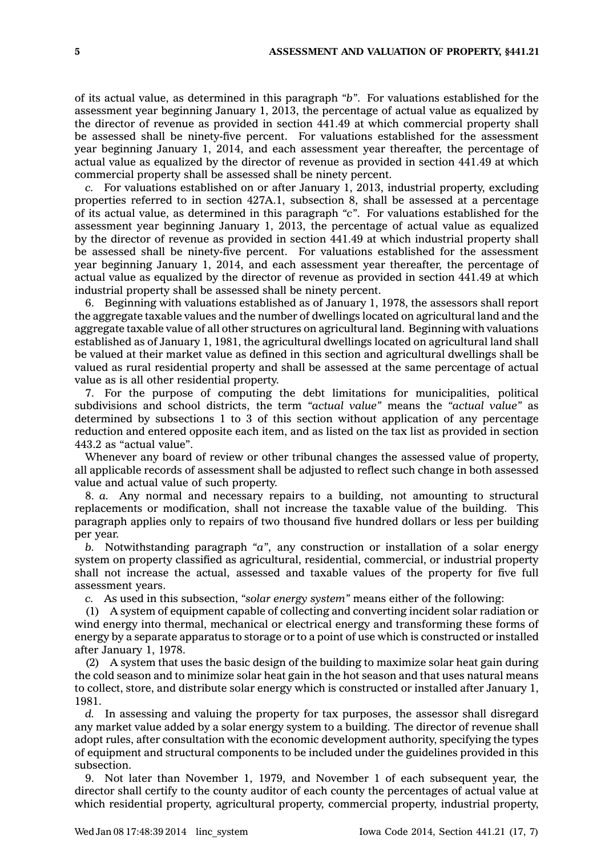of its actual value, as determined in this paragraph *"b"*. For valuations established for the assessment year beginning January 1, 2013, the percentage of actual value as equalized by the director of revenue as provided in section 441.49 at which commercial property shall be assessed shall be ninety-five percent. For valuations established for the assessment year beginning January 1, 2014, and each assessment year thereafter, the percentage of actual value as equalized by the director of revenue as provided in section 441.49 at which commercial property shall be assessed shall be ninety percent.

*c.* For valuations established on or after January 1, 2013, industrial property, excluding properties referred to in section 427A.1, subsection 8, shall be assessed at <sup>a</sup> percentage of its actual value, as determined in this paragraph *"c"*. For valuations established for the assessment year beginning January 1, 2013, the percentage of actual value as equalized by the director of revenue as provided in section 441.49 at which industrial property shall be assessed shall be ninety-five percent. For valuations established for the assessment year beginning January 1, 2014, and each assessment year thereafter, the percentage of actual value as equalized by the director of revenue as provided in section 441.49 at which industrial property shall be assessed shall be ninety percent.

6. Beginning with valuations established as of January 1, 1978, the assessors shall report the aggregate taxable values and the number of dwellings located on agricultural land and the aggregate taxable value of all other structures on agricultural land. Beginning with valuations established as of January 1, 1981, the agricultural dwellings located on agricultural land shall be valued at their market value as defined in this section and agricultural dwellings shall be valued as rural residential property and shall be assessed at the same percentage of actual value as is all other residential property.

7. For the purpose of computing the debt limitations for municipalities, political subdivisions and school districts, the term *"actual value"* means the *"actual value"* as determined by subsections 1 to 3 of this section without application of any percentage reduction and entered opposite each item, and as listed on the tax list as provided in section 443.2 as "actual value".

Whenever any board of review or other tribunal changes the assessed value of property, all applicable records of assessment shall be adjusted to reflect such change in both assessed value and actual value of such property.

8. *a.* Any normal and necessary repairs to <sup>a</sup> building, not amounting to structural replacements or modification, shall not increase the taxable value of the building. This paragraph applies only to repairs of two thousand five hundred dollars or less per building per year.

*b.* Notwithstanding paragraph *"a"*, any construction or installation of <sup>a</sup> solar energy system on property classified as agricultural, residential, commercial, or industrial property shall not increase the actual, assessed and taxable values of the property for five full assessment years.

*c.* As used in this subsection, *"solar energy system"* means either of the following:

(1) A system of equipment capable of collecting and converting incident solar radiation or wind energy into thermal, mechanical or electrical energy and transforming these forms of energy by <sup>a</sup> separate apparatus to storage or to <sup>a</sup> point of use which is constructed or installed after January 1, 1978.

(2) A system that uses the basic design of the building to maximize solar heat gain during the cold season and to minimize solar heat gain in the hot season and that uses natural means to collect, store, and distribute solar energy which is constructed or installed after January 1, 1981.

*d.* In assessing and valuing the property for tax purposes, the assessor shall disregard any market value added by <sup>a</sup> solar energy system to <sup>a</sup> building. The director of revenue shall adopt rules, after consultation with the economic development authority, specifying the types of equipment and structural components to be included under the guidelines provided in this subsection.

9. Not later than November 1, 1979, and November 1 of each subsequent year, the director shall certify to the county auditor of each county the percentages of actual value at which residential property, agricultural property, commercial property, industrial property,